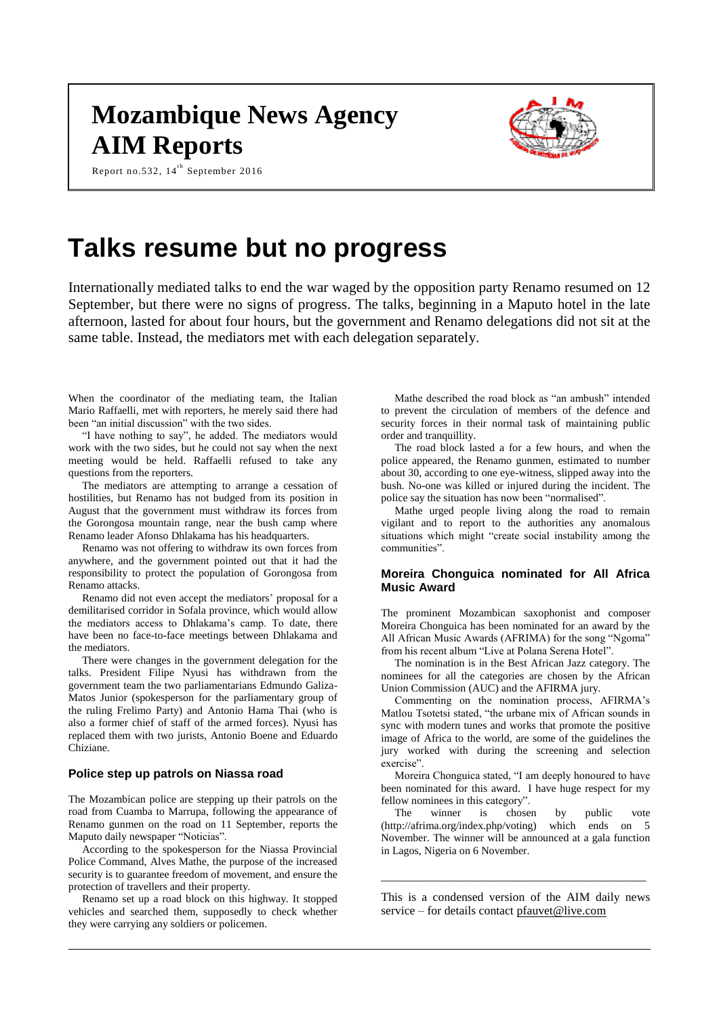# **Mozambique News Agency AIM Reports**



Report no.532, 14<sup>th</sup> September 2016

# **Talks resume but no progress**

Internationally mediated talks to end the war waged by the opposition party Renamo resumed on 12 September, but there were no signs of progress. The talks, beginning in a Maputo hotel in the late afternoon, lasted for about four hours, but the government and Renamo delegations did not sit at the same table. Instead, the mediators met with each delegation separately.

When the coordinator of the mediating team, the Italian Mario Raffaelli, met with reporters, he merely said there had been "an initial discussion" with the two sides.

"I have nothing to say", he added. The mediators would work with the two sides, but he could not say when the next meeting would be held. Raffaelli refused to take any questions from the reporters.

The mediators are attempting to arrange a cessation of hostilities, but Renamo has not budged from its position in August that the government must withdraw its forces from the Gorongosa mountain range, near the bush camp where Renamo leader Afonso Dhlakama has his headquarters.

Renamo was not offering to withdraw its own forces from anywhere, and the government pointed out that it had the responsibility to protect the population of Gorongosa from Renamo attacks.

Renamo did not even accept the mediators' proposal for a demilitarised corridor in Sofala province, which would allow the mediators access to Dhlakama's camp. To date, there have been no face-to-face meetings between Dhlakama and the mediators.

There were changes in the government delegation for the talks. President Filipe Nyusi has withdrawn from the government team the two parliamentarians Edmundo Galiza-Matos Junior (spokesperson for the parliamentary group of the ruling Frelimo Party) and Antonio Hama Thai (who is also a former chief of staff of the armed forces). Nyusi has replaced them with two jurists, Antonio Boene and Eduardo Chiziane.

#### **Police step up patrols on Niassa road**

The Mozambican police are stepping up their patrols on the road from Cuamba to Marrupa, following the appearance of Renamo gunmen on the road on 11 September, reports the Maputo daily newspaper "Noticias".

According to the spokesperson for the Niassa Provincial Police Command, Alves Mathe, the purpose of the increased security is to guarantee freedom of movement, and ensure the protection of travellers and their property.

Renamo set up a road block on this highway. It stopped vehicles and searched them, supposedly to check whether they were carrying any soldiers or policemen.

Mathe described the road block as "an ambush" intended to prevent the circulation of members of the defence and security forces in their normal task of maintaining public order and tranquillity.

The road block lasted a for a few hours, and when the police appeared, the Renamo gunmen, estimated to number about 30, according to one eye-witness, slipped away into the bush. No-one was killed or injured during the incident. The police say the situation has now been "normalised".

Mathe urged people living along the road to remain vigilant and to report to the authorities any anomalous situations which might "create social instability among the communities".

## **Moreira Chonguica nominated for All Africa Music Award**

The prominent Mozambican saxophonist and composer Moreira Chonguica has been nominated for an award by the All African Music Awards (AFRIMA) for the song "Ngoma" from his recent album "Live at Polana Serena Hotel".

The nomination is in the Best African Jazz category. The nominees for all the categories are chosen by the African Union Commission (AUC) and the AFIRMA jury.

Commenting on the nomination process, AFIRMA's Matlou Tsotetsi stated, "the urbane mix of African sounds in sync with modern tunes and works that promote the positive image of Africa to the world, are some of the guidelines the jury worked with during the screening and selection exercise".

Moreira Chonguica stated, "I am deeply honoured to have been nominated for this award. I have huge respect for my fellow nominees in this category".

The winner is chosen by public vote (http://afrima.org/index.php/voting) which ends on 5 November. The winner will be announced at a gala function in Lagos, Nigeria on 6 November.

This is a condensed version of the AIM daily news service – for details contact [pfauvet@live.com](mailto:pfauvet@live.com)

\_\_\_\_\_\_\_\_\_\_\_\_\_\_\_\_\_\_\_\_\_\_\_\_\_\_\_\_\_\_\_\_\_\_\_\_\_\_\_\_\_\_\_\_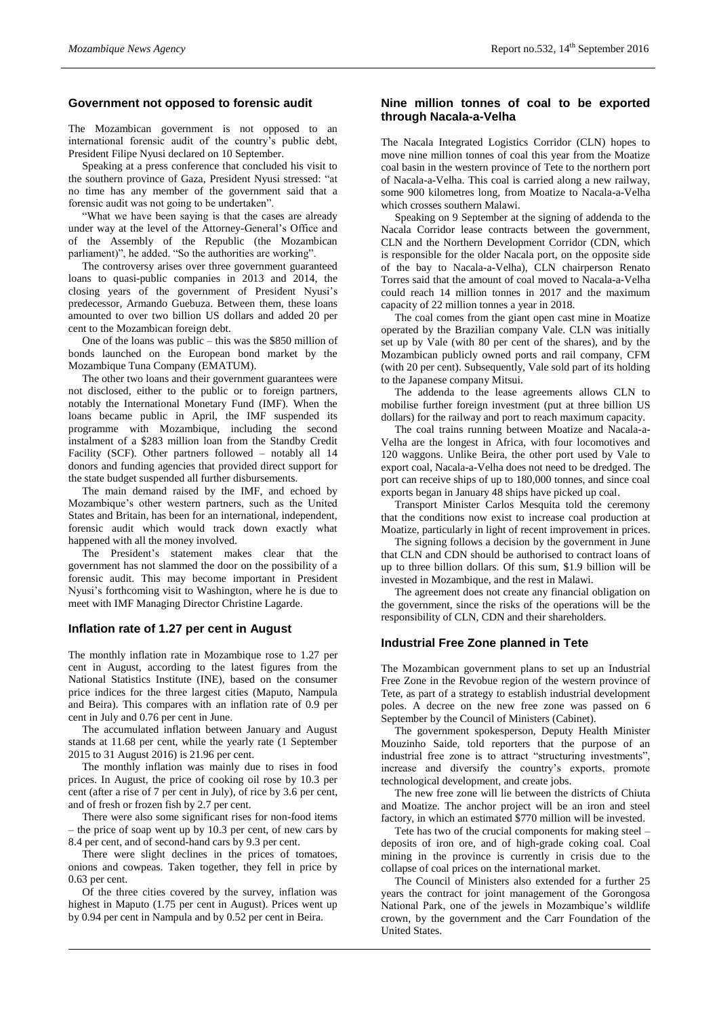# **Government not opposed to forensic audit**

The Mozambican government is not opposed to an international forensic audit of the country's public debt, President Filipe Nyusi declared on 10 September.

Speaking at a press conference that concluded his visit to the southern province of Gaza, President Nyusi stressed: "at no time has any member of the government said that a forensic audit was not going to be undertaken".

"What we have been saying is that the cases are already under way at the level of the Attorney-General's Office and of the Assembly of the Republic (the Mozambican parliament)", he added. "So the authorities are working".

The controversy arises over three government guaranteed loans to quasi-public companies in 2013 and 2014, the closing years of the government of President Nyusi's predecessor, Armando Guebuza. Between them, these loans amounted to over two billion US dollars and added 20 per cent to the Mozambican foreign debt.

One of the loans was public – this was the \$850 million of bonds launched on the European bond market by the Mozambique Tuna Company (EMATUM).

The other two loans and their government guarantees were not disclosed, either to the public or to foreign partners, notably the International Monetary Fund (IMF). When the loans became public in April, the IMF suspended its programme with Mozambique, including the second instalment of a \$283 million loan from the Standby Credit Facility (SCF). Other partners followed – notably all 14 donors and funding agencies that provided direct support for the state budget suspended all further disbursements.

The main demand raised by the IMF, and echoed by Mozambique's other western partners, such as the United States and Britain, has been for an international, independent, forensic audit which would track down exactly what happened with all the money involved.

The President's statement makes clear that the government has not slammed the door on the possibility of a forensic audit. This may become important in President Nyusi's forthcoming visit to Washington, where he is due to meet with IMF Managing Director Christine Lagarde.

### **Inflation rate of 1.27 per cent in August**

The monthly inflation rate in Mozambique rose to 1.27 per cent in August, according to the latest figures from the National Statistics Institute (INE), based on the consumer price indices for the three largest cities (Maputo, Nampula and Beira). This compares with an inflation rate of 0.9 per cent in July and 0.76 per cent in June.

The accumulated inflation between January and August stands at 11.68 per cent, while the yearly rate (1 September 2015 to 31 August 2016) is 21.96 per cent.

The monthly inflation was mainly due to rises in food prices. In August, the price of cooking oil rose by 10.3 per cent (after a rise of 7 per cent in July), of rice by 3.6 per cent, and of fresh or frozen fish by 2.7 per cent.

There were also some significant rises for non-food items – the price of soap went up by 10.3 per cent, of new cars by 8.4 per cent, and of second-hand cars by 9.3 per cent.

There were slight declines in the prices of tomatoes, onions and cowpeas. Taken together, they fell in price by 0.63 per cent.

Of the three cities covered by the survey, inflation was highest in Maputo (1.75 per cent in August). Prices went up by 0.94 per cent in Nampula and by 0.52 per cent in Beira.

# **Nine million tonnes of coal to be exported through Nacala-a-Velha**

The Nacala Integrated Logistics Corridor (CLN) hopes to move nine million tonnes of coal this year from the Moatize coal basin in the western province of Tete to the northern port of Nacala-a-Velha. This coal is carried along a new railway, some 900 kilometres long, from Moatize to Nacala-a-Velha which crosses southern Malawi.

Speaking on 9 September at the signing of addenda to the Nacala Corridor lease contracts between the government, CLN and the Northern Development Corridor (CDN, which is responsible for the older Nacala port, on the opposite side of the bay to Nacala-a-Velha), CLN chairperson Renato Torres said that the amount of coal moved to Nacala-a-Velha could reach 14 million tonnes in 2017 and the maximum capacity of 22 million tonnes a year in 2018.

The coal comes from the giant open cast mine in Moatize operated by the Brazilian company Vale. CLN was initially set up by Vale (with 80 per cent of the shares), and by the Mozambican publicly owned ports and rail company, CFM (with 20 per cent). Subsequently, Vale sold part of its holding to the Japanese company Mitsui.

The addenda to the lease agreements allows CLN to mobilise further foreign investment (put at three billion US dollars) for the railway and port to reach maximum capacity.

The coal trains running between Moatize and Nacala-a-Velha are the longest in Africa, with four locomotives and 120 waggons. Unlike Beira, the other port used by Vale to export coal, Nacala-a-Velha does not need to be dredged. The port can receive ships of up to 180,000 tonnes, and since coal exports began in January 48 ships have picked up coal.

Transport Minister Carlos Mesquita told the ceremony that the conditions now exist to increase coal production at Moatize, particularly in light of recent improvement in prices.

The signing follows a decision by the government in June that CLN and CDN should be authorised to contract loans of up to three billion dollars. Of this sum, \$1.9 billion will be invested in Mozambique, and the rest in Malawi.

The agreement does not create any financial obligation on the government, since the risks of the operations will be the responsibility of CLN, CDN and their shareholders.

### **Industrial Free Zone planned in Tete**

The Mozambican government plans to set up an Industrial Free Zone in the Revobue region of the western province of Tete, as part of a strategy to establish industrial development poles. A decree on the new free zone was passed on 6 September by the Council of Ministers (Cabinet).

The government spokesperson, Deputy Health Minister Mouzinho Saide, told reporters that the purpose of an industrial free zone is to attract "structuring investments", increase and diversify the country's exports, promote technological development, and create jobs.

The new free zone will lie between the districts of Chiuta and Moatize. The anchor project will be an iron and steel factory, in which an estimated \$770 million will be invested.

Tete has two of the crucial components for making steel – deposits of iron ore, and of high-grade coking coal. Coal mining in the province is currently in crisis due to the collapse of coal prices on the international market.

The Council of Ministers also extended for a further 25 years the contract for joint management of the Gorongosa National Park, one of the jewels in Mozambique's wildlife crown, by the government and the Carr Foundation of the United States.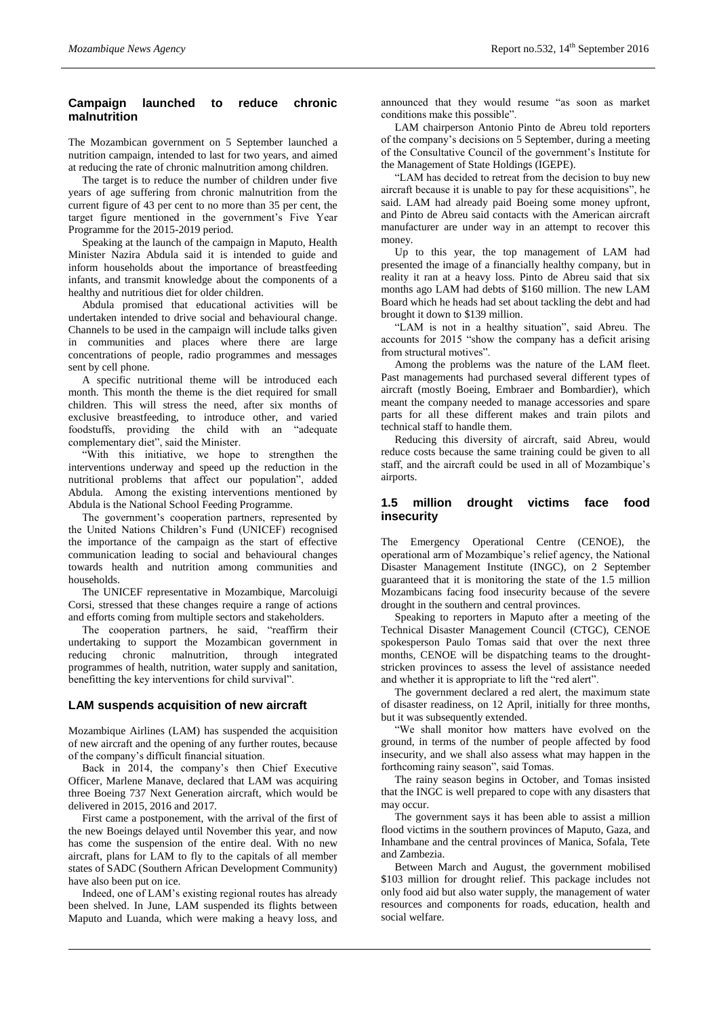# **Campaign launched to reduce chronic malnutrition**

The Mozambican government on 5 September launched a nutrition campaign, intended to last for two years, and aimed at reducing the rate of chronic malnutrition among children.

The target is to reduce the number of children under five years of age suffering from chronic malnutrition from the current figure of 43 per cent to no more than 35 per cent, the target figure mentioned in the government's Five Year Programme for the 2015-2019 period.

Speaking at the launch of the campaign in Maputo, Health Minister Nazira Abdula said it is intended to guide and inform households about the importance of breastfeeding infants, and transmit knowledge about the components of a healthy and nutritious diet for older children.

Abdula promised that educational activities will be undertaken intended to drive social and behavioural change. Channels to be used in the campaign will include talks given in communities and places where there are large concentrations of people, radio programmes and messages sent by cell phone.

A specific nutritional theme will be introduced each month. This month the theme is the diet required for small children. This will stress the need, after six months of exclusive breastfeeding, to introduce other, and varied foodstuffs, providing the child with an "adequate complementary diet", said the Minister.

"With this initiative, we hope to strengthen the interventions underway and speed up the reduction in the nutritional problems that affect our population", added Abdula. Among the existing interventions mentioned by Abdula is the National School Feeding Programme.

The government's cooperation partners, represented by the United Nations Children's Fund (UNICEF) recognised the importance of the campaign as the start of effective communication leading to social and behavioural changes towards health and nutrition among communities and households.

The UNICEF representative in Mozambique, Marcoluigi Corsi, stressed that these changes require a range of actions and efforts coming from multiple sectors and stakeholders.

The cooperation partners, he said, "reaffirm their undertaking to support the Mozambican government in reducing chronic malnutrition, through integrated programmes of health, nutrition, water supply and sanitation, benefitting the key interventions for child survival".

# **LAM suspends acquisition of new aircraft**

Mozambique Airlines (LAM) has suspended the acquisition of new aircraft and the opening of any further routes, because of the company's difficult financial situation.

Back in 2014, the company's then Chief Executive Officer, Marlene Manave, declared that LAM was acquiring three Boeing 737 Next Generation aircraft, which would be delivered in 2015, 2016 and 2017.

First came a postponement, with the arrival of the first of the new Boeings delayed until November this year, and now has come the suspension of the entire deal. With no new aircraft, plans for LAM to fly to the capitals of all member states of SADC (Southern African Development Community) have also been put on ice.

Indeed, one of LAM's existing regional routes has already been shelved. In June, LAM suspended its flights between Maputo and Luanda, which were making a heavy loss, and announced that they would resume "as soon as market conditions make this possible".

LAM chairperson Antonio Pinto de Abreu told reporters of the company's decisions on 5 September, during a meeting of the Consultative Council of the government's Institute for the Management of State Holdings (IGEPE).

"LAM has decided to retreat from the decision to buy new aircraft because it is unable to pay for these acquisitions", he said. LAM had already paid Boeing some money upfront, and Pinto de Abreu said contacts with the American aircraft manufacturer are under way in an attempt to recover this money.

Up to this year, the top management of LAM had presented the image of a financially healthy company, but in reality it ran at a heavy loss. Pinto de Abreu said that six months ago LAM had debts of \$160 million. The new LAM Board which he heads had set about tackling the debt and had brought it down to \$139 million.

"LAM is not in a healthy situation", said Abreu. The accounts for 2015 "show the company has a deficit arising from structural motives".

Among the problems was the nature of the LAM fleet. Past managements had purchased several different types of aircraft (mostly Boeing, Embraer and Bombardier), which meant the company needed to manage accessories and spare parts for all these different makes and train pilots and technical staff to handle them.

Reducing this diversity of aircraft, said Abreu, would reduce costs because the same training could be given to all staff, and the aircraft could be used in all of Mozambique's airports.

## **1.5 million drought victims face food insecurity**

The Emergency Operational Centre (CENOE), the operational arm of Mozambique's relief agency, the National Disaster Management Institute (INGC), on 2 September guaranteed that it is monitoring the state of the 1.5 million Mozambicans facing food insecurity because of the severe drought in the southern and central provinces.

Speaking to reporters in Maputo after a meeting of the Technical Disaster Management Council (CTGC), CENOE spokesperson Paulo Tomas said that over the next three months, CENOE will be dispatching teams to the droughtstricken provinces to assess the level of assistance needed and whether it is appropriate to lift the "red alert".

The government declared a red alert, the maximum state of disaster readiness, on 12 April, initially for three months, but it was subsequently extended.

"We shall monitor how matters have evolved on the ground, in terms of the number of people affected by food insecurity, and we shall also assess what may happen in the forthcoming rainy season", said Tomas.

The rainy season begins in October, and Tomas insisted that the INGC is well prepared to cope with any disasters that may occur.

The government says it has been able to assist a million flood victims in the southern provinces of Maputo, Gaza, and Inhambane and the central provinces of Manica, Sofala, Tete and Zambezia.

Between March and August, the government mobilised \$103 million for drought relief. This package includes not only food aid but also water supply, the management of water resources and components for roads, education, health and social welfare.